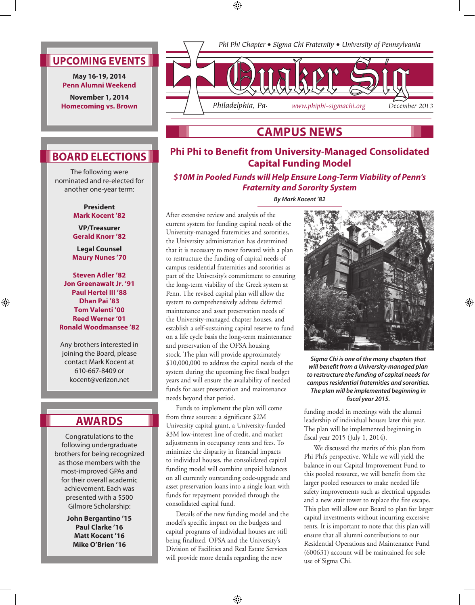⊕



**May 16-19, 2014 Penn Alumni Weekend**

**November 1, 2014 Homecoming vs. Brown**



## **Campus News**

## **Phi Phi to Benefit from University-Managed Consolidated Capital Funding Model**

*\$10M in Pooled Funds will Help Ensure Long-Term Viability of Penn's Fraternity and Sorority System*

*By Mark Kocent '82*

After extensive review and analysis of the current system for funding capital needs of the University-managed fraternities and sororities, the University administration has determined that it is necessary to move forward with a plan to restructure the funding of capital needs of campus residential fraternities and sororities as part of the University's commitment to ensuring the long-term viability of the Greek system at Penn. The revised capital plan will allow the system to comprehensively address deferred maintenance and asset preservation needs of the University-managed chapter houses, and establish a self-sustaining capital reserve to fund on a life cycle basis the long-term maintenance and preservation of the OFSA housing stock. The plan will provide approximately \$10,000,000 to address the capital needs of the system during the upcoming five fiscal budget years and will ensure the availability of needed funds for asset preservation and maintenance needs beyond that period.

Funds to implement the plan will come from three sources: a significant \$2M University capital grant, a University-funded \$3M low-interest line of credit, and market adjustments in occupancy rents and fees. To minimize the disparity in financial impacts to individual houses, the consolidated capital funding model will combine unpaid balances on all currently outstanding code-upgrade and asset preservation loans into a single loan with funds for repayment provided through the consolidated capital fund.

Details of the new funding model and the model's specific impact on the budgets and capital programs of individual houses are still being finalized. OFSA and the University's Division of Facilities and Real Estate Services will provide more details regarding the new

⊕



⊕

*Sigma Chi is one of the many chapters that will benefit from a University-managed plan to restructure the funding of capital needs for campus residential fraternities and sororities. The plan will be implemented beginning in fiscal year 2015.*

funding model in meetings with the alumni leadership of individual houses later this year. The plan will be implemented beginning in fiscal year 2015 (July 1, 2014).

We discussed the merits of this plan from Phi Phi's perspective. While we will yield the balance in our Capital Improvement Fund to this pooled resource, we will benefit from the larger pooled resources to make needed life safety improvements such as electrical upgrades and a new stair tower to replace the fire escape. This plan will allow our Board to plan for larger capital investments without incurring excessive rents. It is important to note that this plan will ensure that all alumni contributions to our Residential Operations and Maintenance Fund (600631) account will be maintained for sole use of Sigma Chi.

# **Board Elections**

The following were nominated and re-elected for another one-year term:

### **President Mark Kocent '82**

**VP/Treasurer Gerald Knorr '82** 

**Legal Counsel Maury Nunes '70** 

**Steven Adler '82 Jon Greenawalt Jr. '91 Paul Hertel III '88 Dhan Pai '83 Tom Valenti '00 Reed Werner '01 Ronald Woodmansee '82**

⊕

Any brothers interested in joining the Board, please contact Mark Kocent at 610-667-8409 or kocent@verizon.net

# **Awards**

Congratulations to the following undergraduate brothers for being recognized as those members with the most-improved GPAs and for their overall academic achievement. Each was presented with a \$500 Gilmore Scholarship:

> **John Bergantino '15 Paul Clarke '16 Matt Kocent '16 Mike O'Brien '16**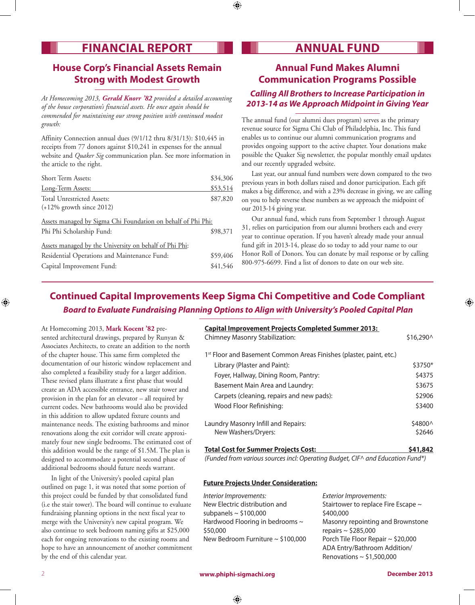# **FINANCIAL REPORT ANNUAL FUND**

## **House Corp's Financial Assets Remain Strong with Modest Growth**

*At Homecoming 2013, Gerald Knorr '82 provided a detailed accounting of the house corporation's financial assets. He once again should be commended for maintaining our strong position with continued modest growth:*

Affinity Connection annual dues (9/1/12 thru 8/31/13): \$10,445 in receipts from 77 donors against \$10,241 in expenses for the annual website and *Quaker Sig* communication plan. See more information in the article to the right.

| <b>Short Term Assets:</b>                                                                 | \$34,306 |
|-------------------------------------------------------------------------------------------|----------|
| Long-Term Assets:                                                                         | \$53,514 |
| Total Unrestricted Assets:<br>$(+12\%$ growth since 2012)                                 | \$87,820 |
| Assets managed by Sigma Chi Foundation on behalf of Phi Phi:<br>Phi Phi Scholarship Fund: | \$98,371 |
| Assets managed by the University on behalf of Phi Phi:                                    |          |
| Residential Operations and Maintenance Fund:                                              | \$59,406 |
| Capital Improvement Fund:                                                                 | \$41,546 |

## **Annual Fund Makes Alumni Communication Programs Possible** *Calling All Brothers to Increase Participation in 2013-14 as We Approach Midpoint in Giving Year*

The annual fund (our alumni dues program) serves as the primary revenue source for Sigma Chi Club of Philadelphia, Inc. This fund enables us to continue our alumni communication programs and provides ongoing support to the active chapter. Your donations make possible the Quaker Sig newsletter, the popular monthly email updates and our recently upgraded website.

Last year, our annual fund numbers were down compared to the two previous years in both dollars raised and donor participation. Each gift makes a big difference, and with a 23% decrease in giving, we are calling on you to help reverse these numbers as we approach the midpoint of our 2013-14 giving year.

Our annual fund, which runs from September 1 through August 31, relies on participation from our alumni brothers each and every year to continue operation. If you haven't already made your annual fund gift in 2013-14, please do so today to add your name to our Honor Roll of Donors. You can donate by mail response or by calling 800-975-6699. Find a list of donors to date on our web site.

## **Continued Capital Improvements Keep Sigma Chi Competitive and Code Compliant**  *Board to Evaluate Fundraising Planning Options to Align with University's Pooled Capital Plan*

⊕

At Homecoming 2013, **Mark Kocent '82** presented architectural drawings, prepared by Runyan & Associates Architects, to create an addition to the north of the chapter house. This same firm completed the documentation of our historic window replacement and also completed a feasibility study for a larger addition. These revised plans illustrate a first phase that would create an ADA accessible entrance, new stair tower and provision in the plan for an elevator – all required by current codes. New bathrooms would also be provided in this addition to allow updated fixture counts and maintenance needs. The existing bathrooms and minor renovations along the exit corridor will create approximately four new single bedrooms. The estimated cost of this addition would be the range of \$1.5M. The plan is designed to accommodate a potential second phase of additional bedrooms should future needs warrant.

In light of the University's pooled capital plan outlined on page 1, it was noted that some portion of this project could be funded by that consolidated fund (i.e the stair tower). The board will continue to evaluate fundraising planning options in the next fiscal year to merge with the University's new capital program. We also continue to seek bedroom naming gifts at \$25,000 each for ongoing renovations to the existing rooms and hope to have an announcement of another commitment by the end of this calendar year.

**Capital Improvement Projects Completed Summer 2013:** Chimney Masonry Stabilization:  $$16,290^{\circ}$ 1<sup>st</sup> Floor and Basement Common Areas Finishes (plaster, paint, etc.) Library (Plaster and Paint):  $$3750*$ Foyer, Hallway, Dining Room, Pantry:  $$4375$ Basement Main Area and Laundry: \$3675 Carpets (cleaning, repairs and new pads): \$2906 Wood Floor Refinishing:  $\frac{1}{3400}$ Laundry Masonry Infill and Repairs:  $\frac{1}{2}4800^{\circ}$ New Washers/Dryers:  $$2646$ **Total Cost for Summer Projects Cost: \$41,842** 

*(Funded from various sources incl: Operating Budget, CIF^ and Education Fund\*)*

### **Future Projects Under Consideration:**

*Interior Improvements:* New Electric distribution and subpanels  $\sim$  \$100,000 Hardwood Flooring in bedrooms ~ \$50,000 New Bedroom Furniture ~ \$100,000 *Exterior Improvements:*  Stairtower to replace Fire Escape ~ \$400,000 Masonry repointing and Brownstone repairs ~ \$285,000 Porch Tile Floor Repair ~ \$20,000 ADA Entry/Bathroom Addition/ Renovations  $\sim$  \$1,500,000

⊕

⊕

⊕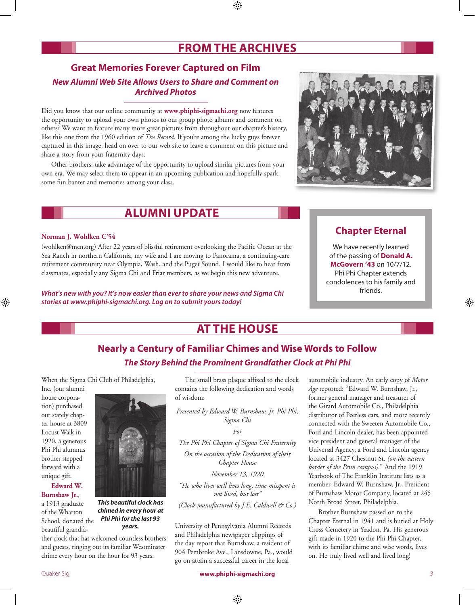# **From the Archives**

## **Great Memories Forever Captured on Film** *New Alumni Web Site Allows Users to Share and Comment on Archived Photos*

Did you know that our online community at **www.phiphi-sigmachi.org** now features the opportunity to upload your own photos to our group photo albums and comment on others? We want to feature many more great pictures from throughout our chapter's history, like this one from the 1960 edition of *The Record*. If you're among the lucky guys forever captured in this image, head on over to our web site to leave a comment on this picture and share a story from your fraternity days.

Other brothers: take advantage of the opportunity to upload similar pictures from your own era. We may select them to appear in an upcoming publication and hopefully spark some fun banter and memories among your class.

# **Alumni Update**

### **Norman J. Wohlken C'54**

(wohlken@mcn.org) After 22 years of blissful retirement overlooking the Pacific Ocean at the Sea Ranch in northern California, my wife and I are moving to Panorama, a continuing-care retirement community near Olympia, Wash. and the Puget Sound. I would like to hear from classmates, especially any Sigma Chi and Friar members, as we begin this new adventure.

*What's new with you? It's now easier than ever to share your news and Sigma Chi stories at www.phiphi-sigmachi.org. Log on to submit yours today!*

### **Chapter Eternal**

We have recently learned of the passing of **Donald A. McGovern '43** on 10/7/12. Phi Phi Chapter extends condolences to his family and friends.

# **At the House**

# **Nearly a Century of Familiar Chimes and Wise Words to Follow** *The Story Behind the Prominent Grandfather Clock at Phi Phi*

When the Sigma Chi Club of Philadelphia,

Inc. (our alumni house corporation) purchased our stately chapter house at 3809 Locust Walk in 1920, a generous Phi Phi alumnus brother stepped forward with a unique gift.

⊕

### **Edward W. Burnshaw Jr.**,

a 1913 graduate of the Wharton School, donated the beautiful grandfa-



*This beautiful clock has chimed in every hour at Phi Phi for the last 93 years.*

ther clock that has welcomed countless brothers and guests, ringing out its familiar Westminster chime every hour on the hour for 93 years.

The small brass plaque affixed to the clock contains the following dedication and words of wisdom:

*Presented by Edward W. Burnshaw, Jr. Phi Phi, Sigma Chi*

*For*

*The Phi Phi Chapter of Sigma Chi Fraternity On the occasion of the Dedication of their Chapter House*

*November 13, 1920*

*"He who lives well lives long, time misspent is not lived, but lost"*

*(Clock manufactured by J.E. Caldwell & Co.)*

University of Pennsylvania Alumni Records and Philadelphia newspaper clippings of the day report that Burnshaw, a resident of 904 Pembroke Ave., Lansdowne, Pa., would go on attain a successful career in the local

automobile industry. An early copy of *Motor Age* reported: "Edward W. Burnshaw, Jr., former general manager and treasurer of the Girard Automobile Co., Philadelphia distributor of Peerless cars, and more recently connected with the Sweeten Automobile Co., Ford and Lincoln dealer, has been appointed vice president and general manager of the Universal Agency, a Ford and Lincoln agency located at 3427 Chestnut St. *(on the eastern border of the Penn campus).*" And the 1919 Yearbook of The Franklin Institute lists as a member, Edward W. Burnshaw, Jr., President of Burnshaw Motor Company, located at 245 North Broad Street, Philadelphia.

Brother Burnshaw passed on to the Chapter Eternal in 1941 and is buried at Holy Cross Cemetery in Yeadon, Pa. His generous gift made in 1920 to the Phi Phi Chapter, with its familiar chime and wise words, lives on. He truly lived well and lived long!

Quaker Sig **www.phiphi‑sigmachi.org** 3